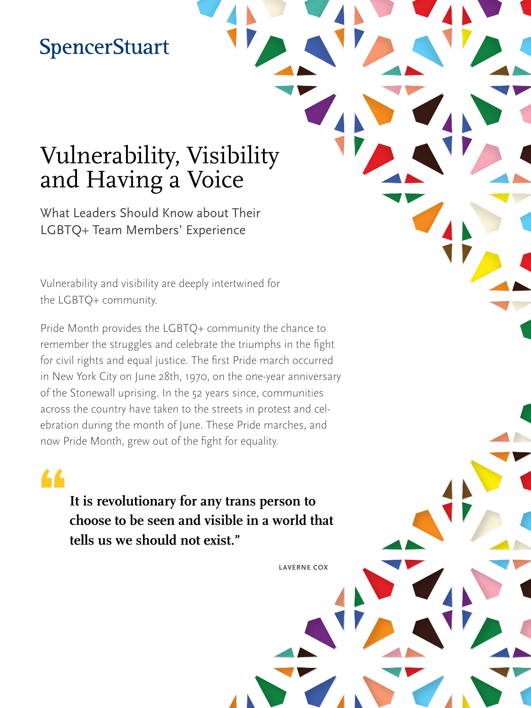## **SpencerStuart**

# Vulnerability, Visibility and Having a Voice

What Leaders Should Know about Their LGBTQ+ Team Members' Experience

Vulnerability and visibility are deeply intertwined for the LGBTQ+ community.

Pride Month provides the LGBTQ+ community the chance to remember the struggles and celebrate the triumphs in the fight for civil rights and equal justice. The first Pride march occurred in New York City on June 28th, 1970, on the one-year anniversary of the Stonewall uprising. In the 52 years since, communities across the country have taken to the streets in protest and celebration during the month of June. These Pride marches, and now Pride Month, grew out of the fight for equality.

## •

**It is revolutionary for any trans person to choose to be seen and visible in a world that tells us we should not exist."**

**LAVERNE COX**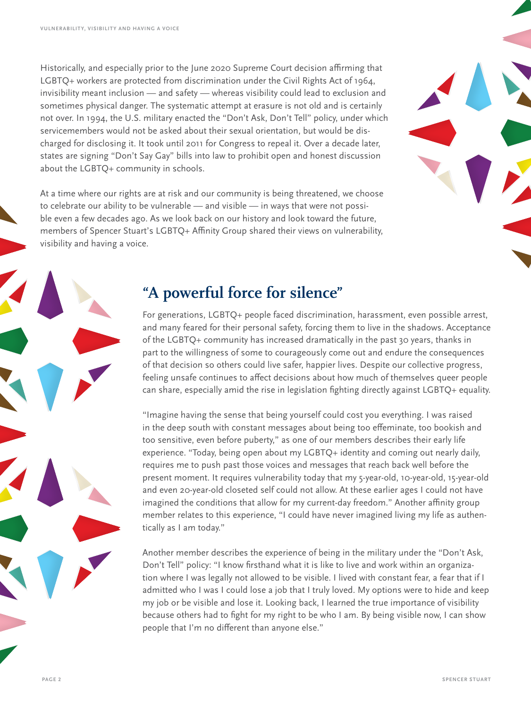Historically, and especially prior to the June 2020 Supreme Court decision affirming that LGBTQ+ workers are protected from discrimination under the Civil Rights Act of 1964, invisibility meant inclusion — and safety — whereas visibility could lead to exclusion and sometimes physical danger. The systematic attempt at erasure is not old and is certainly not over. In 1994, the U.S. military enacted the "Don't Ask, Don't Tell" policy, under which servicemembers would not be asked about their sexual orientation, but would be discharged for disclosing it. It took until 2011 for Congress to repeal it. Over a decade later, states are signing "Don't Say Gay" bills into law to prohibit open and honest discussion about the LGBTQ+ community in schools.

At a time where our rights are at risk and our community is being threatened, we choose to celebrate our ability to be vulnerable — and visible — in ways that were not possible even a few decades ago. As we look back on our history and look toward the future, members of Spencer Stuart's LGBTQ+ Affinity Group shared their views on vulnerability, visibility and having a voice.

### **"A powerful force for silence"**

For generations, LGBTQ+ people faced discrimination, harassment, even possible arrest, and many feared for their personal safety, forcing them to live in the shadows. Acceptance of the LGBTQ+ community has increased dramatically in the past 30 years, thanks in part to the willingness of some to courageously come out and endure the consequences of that decision so others could live safer, happier lives. Despite our collective progress, feeling unsafe continues to affect decisions about how much of themselves queer people can share, especially amid the rise in legislation fighting directly against LGBTQ+ equality.

"Imagine having the sense that being yourself could cost you everything. I was raised in the deep south with constant messages about being too effeminate, too bookish and too sensitive, even before puberty," as one of our members describes their early life experience. "Today, being open about my LGBTQ+ identity and coming out nearly daily, requires me to push past those voices and messages that reach back well before the present moment. It requires vulnerability today that my 5-year-old, 10-year-old, 15-year-old and even 20-year-old closeted self could not allow. At these earlier ages I could not have imagined the conditions that allow for my current-day freedom." Another affinity group member relates to this experience, "I could have never imagined living my life as authentically as I am today."

Another member describes the experience of being in the military under the "Don't Ask, Don't Tell" policy: "I know firsthand what it is like to live and work within an organization where I was legally not allowed to be visible. I lived with constant fear, a fear that if I admitted who I was I could lose a job that I truly loved. My options were to hide and keep my job or be visible and lose it. Looking back, I learned the true importance of visibility because others had to fight for my right to be who I am. By being visible now, I can show people that I'm no different than anyone else."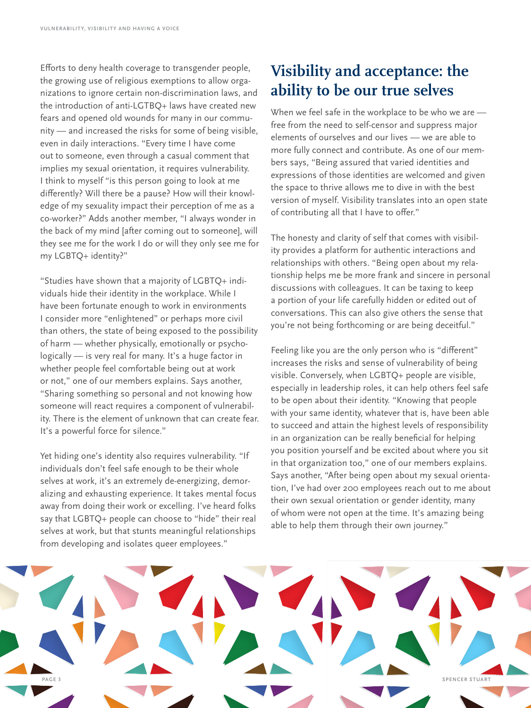Efforts to deny health coverage to transgender people, the growing use of religious exemptions to allow organizations to ignore certain non-discrimination laws, and the introduction of anti-LGTBQ+ laws have created new fears and opened old wounds for many in our community — and increased the risks for some of being visible, even in daily interactions. "Every time I have come out to someone, even through a casual comment that implies my sexual orientation, it requires vulnerability. I think to myself "is this person going to look at me differently? Will there be a pause? How will their knowledge of my sexuality impact their perception of me as a co-worker?" Adds another member, "I always wonder in the back of my mind [after coming out to someone], will they see me for the work I do or will they only see me for my LGBTQ+ identity?"

"Studies have shown that a majority of LGBTQ+ individuals hide their identity in the workplace. While I have been fortunate enough to work in environments I consider more "enlightened" or perhaps more civil than others, the state of being exposed to the possibility of harm — whether physically, emotionally or psychologically — is very real for many. It's a huge factor in whether people feel comfortable being out at work or not," one of our members explains. Says another, "Sharing something so personal and not knowing how someone will react requires a component of vulnerability. There is the element of unknown that can create fear. It's a powerful force for silence."

Yet hiding one's identity also requires vulnerability. "If individuals don't feel safe enough to be their whole selves at work, it's an extremely de-energizing, demoralizing and exhausting experience. It takes mental focus away from doing their work or excelling. I've heard folks say that LGBTQ+ people can choose to "hide" their real selves at work, but that stunts meaningful relationships from developing and isolates queer employees."

### **Visibility and acceptance: the ability to be our true selves**

When we feel safe in the workplace to be who we are free from the need to self-censor and suppress major elements of ourselves and our lives — we are able to more fully connect and contribute. As one of our members says, "Being assured that varied identities and expressions of those identities are welcomed and given the space to thrive allows me to dive in with the best version of myself. Visibility translates into an open state of contributing all that I have to offer."

The honesty and clarity of self that comes with visibility provides a platform for authentic interactions and relationships with others. "Being open about my relationship helps me be more frank and sincere in personal discussions with colleagues. It can be taxing to keep a portion of your life carefully hidden or edited out of conversations. This can also give others the sense that you're not being forthcoming or are being deceitful."

Feeling like you are the only person who is "different" increases the risks and sense of vulnerability of being visible. Conversely, when LGBTQ+ people are visible, especially in leadership roles, it can help others feel safe to be open about their identity. "Knowing that people with your same identity, whatever that is, have been able to succeed and attain the highest levels of responsibility in an organization can be really beneficial for helping you position yourself and be excited about where you sit in that organization too," one of our members explains. Says another, "After being open about my sexual orientation, I've had over 200 employees reach out to me about their own sexual orientation or gender identity, many of whom were not open at the time. It's amazing being able to help them through their own journey."

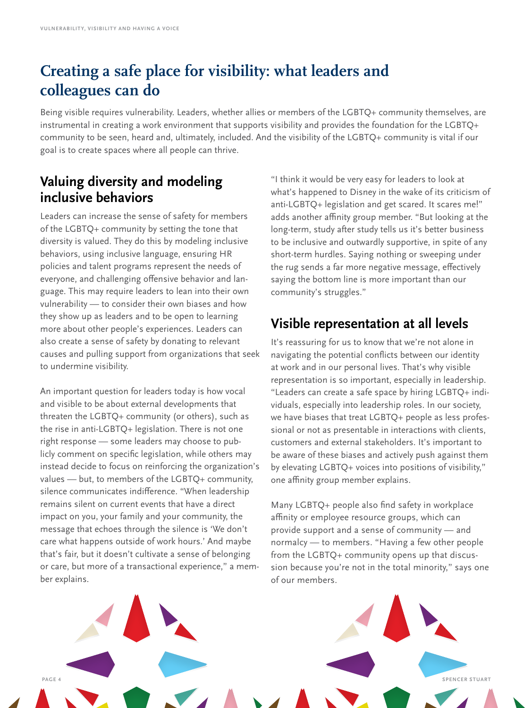## **Creating a safe place for visibility: what leaders and colleagues can do**

Being visible requires vulnerability. Leaders, whether allies or members of the LGBTQ+ community themselves, are instrumental in creating a work environment that supports visibility and provides the foundation for the LGBTQ+ community to be seen, heard and, ultimately, included. And the visibility of the LGBTQ+ community is vital if our goal is to create spaces where all people can thrive.

#### **Valuing diversity and modeling inclusive behaviors**

Leaders can increase the sense of safety for members of the LGBTQ+ community by setting the tone that diversity is valued. They do this by modeling inclusive behaviors, using inclusive language, ensuring HR policies and talent programs represent the needs of everyone, and challenging offensive behavior and language. This may require leaders to lean into their own vulnerability — to consider their own biases and how they show up as leaders and to be open to learning more about other people's experiences. Leaders can also create a sense of safety by donating to relevant causes and pulling support from organizations that seek to undermine visibility.

An important question for leaders today is how vocal and visible to be about external developments that threaten the LGBTQ+ community (or others), such as the rise in anti-LGBTQ+ legislation. There is not one right response — some leaders may choose to publicly comment on specific legislation, while others may instead decide to focus on reinforcing the organization's values — but, to members of the LGBTQ+ community, silence communicates indifference. "When leadership remains silent on current events that have a direct impact on you, your family and your community, the message that echoes through the silence is 'We don't care what happens outside of work hours.' And maybe that's fair, but it doesn't cultivate a sense of belonging or care, but more of a transactional experience," a member explains.

"I think it would be very easy for leaders to look at what's happened to Disney in the wake of its criticism of anti-LGBTQ+ legislation and get scared. It scares me!" adds another affinity group member. "But looking at the long-term, study after study tells us it's better business to be inclusive and outwardly supportive, in spite of any short-term hurdles. Saying nothing or sweeping under the rug sends a far more negative message, effectively saying the bottom line is more important than our community's struggles."

### **Visible representation at all levels**

It's reassuring for us to know that we're not alone in navigating the potential conflicts between our identity at work and in our personal lives. That's why visible representation is so important, especially in leadership. "Leaders can create a safe space by hiring LGBTQ+ individuals, especially into leadership roles. In our society, we have biases that treat LGBTQ+ people as less professional or not as presentable in interactions with clients, customers and external stakeholders. It's important to be aware of these biases and actively push against them by elevating LGBTQ+ voices into positions of visibility," one affinity group member explains.

Many LGBTQ+ people also find safety in workplace affinity or employee resource groups, which can provide support and a sense of community — and normalcy — to members. "Having a few other people from the LGBTQ+ community opens up that discussion because you're not in the total minority," says one of our members.

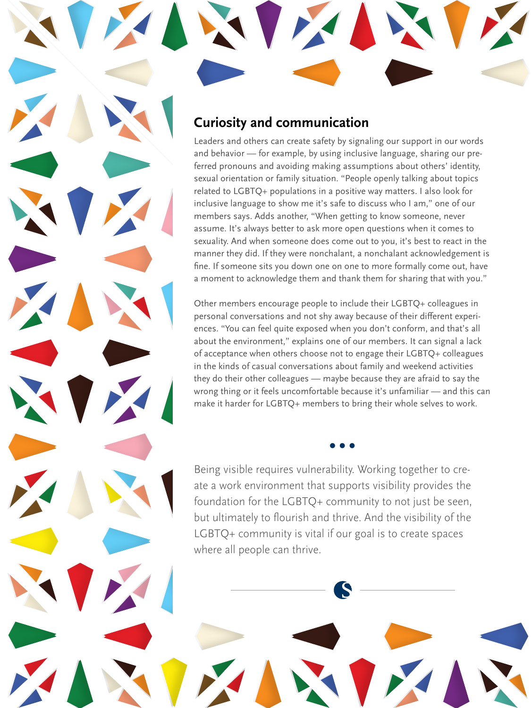#### **Curiosity and communication**

Leaders and others can create safety by signaling our support in our words and behavior — for example, by using inclusive language, sharing our preferred pronouns and avoiding making assumptions about others' identity, sexual orientation or family situation. "People openly talking about topics related to LGBTQ+ populations in a positive way matters. I also look for inclusive language to show me it's safe to discuss who I am," one of our members says. Adds another, "When getting to know someone, never assume. It's always better to ask more open questions when it comes to sexuality. And when someone does come out to you, it's best to react in the manner they did. If they were nonchalant, a nonchalant acknowledgement is fine. If someone sits you down one on one to more formally come out, have a moment to acknowledge them and thank them for sharing that with you."

Other members encourage people to include their LGBTQ+ colleagues in personal conversations and not shy away because of their different experiences. "You can feel quite exposed when you don't conform, and that's all about the environment," explains one of our members. It can signal a lack of acceptance when others choose not to engage their LGBTQ+ colleagues in the kinds of casual conversations about family and weekend activities they do their other colleagues — maybe because they are afraid to say the wrong thing or it feels uncomfortable because it's unfamiliar — and this can make it harder for LGBTQ+ members to bring their whole selves to work.

**• • •**

Being visible requires vulnerability. Working together to create a work environment that supports visibility provides the foundation for the LGBTQ+ community to not just be seen, but ultimately to flourish and thrive. And the visibility of the LGBTQ+ community is vital if our goal is to create spaces where all people can thrive.